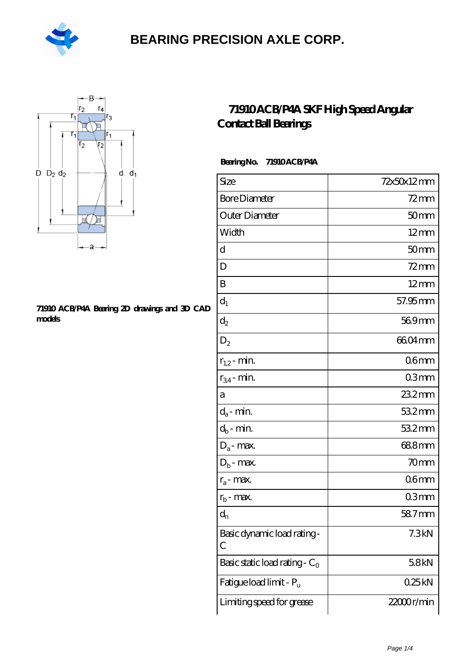



#### **[71910 ACB/P4A Bearing 2D drawings and 3D CAD](https://m.hilalanaokulu.com/pic-660566.html) [models](https://m.hilalanaokulu.com/pic-660566.html)**

#### **[71910 ACB/P4A SKF High Speed Angular](https://m.hilalanaokulu.com/skf-bearings/71910-acb-p4a.html) [Contact Ball Bearings](https://m.hilalanaokulu.com/skf-bearings/71910-acb-p4a.html)**

 **Bearing No. 71910 ACB/P4A**

| Size                             | 72x50x12mm       |
|----------------------------------|------------------|
| <b>Bore Diameter</b>             | $72$ mm          |
| Outer Diameter                   | 50 <sub>mm</sub> |
| Width                            | $12 \text{mm}$   |
| d                                | 50 <sub>mm</sub> |
| D                                | $72$ mm          |
| B                                | $12 \text{mm}$   |
| $d_1$                            | 57.95 mm         |
| $\mathrm{d}_2$                   | $569$ mm         |
| $D_2$                            | 6604mm           |
| $r_{1,2}$ - min.                 | 06 <sub>mm</sub> |
| $r_{34}$ - min.                  | 03mm             |
| a                                | 23.2mm           |
| $d_a$ - min.                     | 532mm            |
| $d_b$ - min.                     | 532mm            |
| $D_a$ - max.                     | 688mm            |
| $D_b$ - max.                     | 70 <sub>mm</sub> |
| $r_a$ - max.                     | 06 <sub>mm</sub> |
| $r_{b}$ - max.                   | 03mm             |
| $\mathrm{d}_{\mathrm{n}}$        | 587mm            |
| Basic dynamic load rating-<br>С  | 7.3kN            |
| Basic static load rating - $C_0$ | 58kN             |
| Fatigue load limit - Pu          | 025kN            |
| Limiting speed for grease        | 22000r/min       |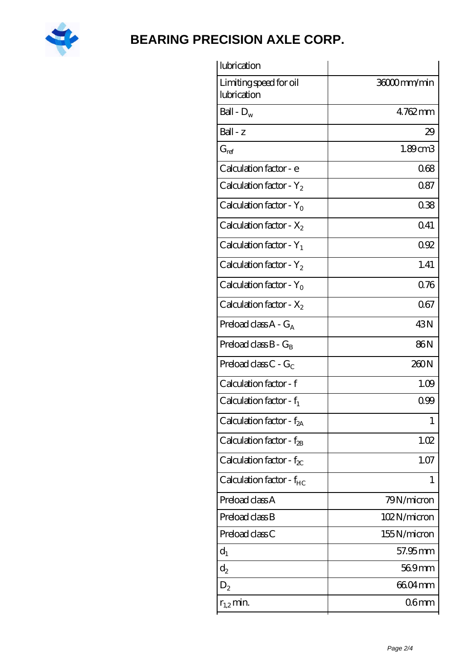

| lubrication                           |                  |
|---------------------------------------|------------------|
| Limiting speed for oil<br>lubrication | 36000mm/min      |
| Ball - $D_w$                          | 4762mm           |
| $Ball - z$                            | 29               |
| $G_{ref}$                             | 1.89cm3          |
| Calculation factor - e                | 068              |
| Calculation factor - $Y_2$            | 087              |
| Calculation factor - $Y_0$            | 038              |
| Calculation factor - $X_2$            | Q41              |
| Calculation factor - $Y_1$            | 092              |
| Calculation factor - $Y_2$            | 1.41             |
| Calculation factor - $Y_0$            | 0.76             |
| Calculation factor - $X_2$            | 067              |
| Preload class $A - G_A$               | 43N              |
| Preload class $B - G_B$               | 86N              |
| Preload class $C$ - $G_C$             | 260N             |
| Calculation factor - f                | 1.09             |
| Calculation factor - $f_1$            | 0.99             |
| Calculation factor - f <sub>2A</sub>  | 1                |
| Calculation factor - f <sub>2B</sub>  | 1.02             |
| Calculation factor - $f_{\chi}$       | 1.07             |
| Calculation factor - $f_{HC}$         | 1                |
| Preload class A                       | 79N/micron       |
| Preload class B                       | 102N/micron      |
| Preload class C                       | 155N/micron      |
| $d_1$                                 | 57.95mm          |
| $d_2$                                 | 569mm            |
| $D_2$                                 | 6604mm           |
| $r_{1,2}$ min.                        | 06 <sub>mm</sub> |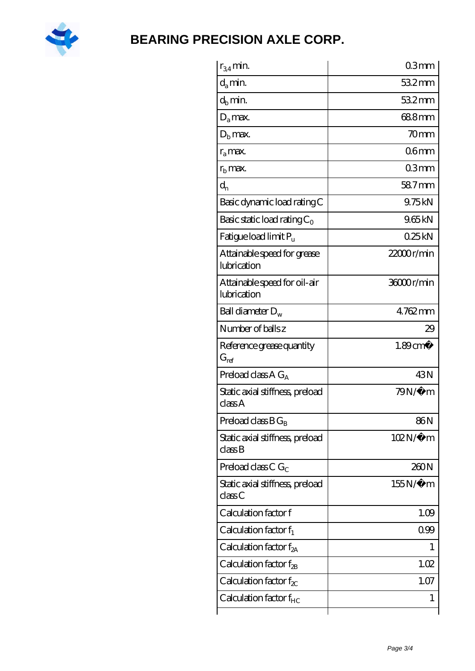

| $r_{34}$ min.                               | 03mm                   |
|---------------------------------------------|------------------------|
| $d_{a}$ min.                                | $532$ mm               |
| $d_b$ min.                                  | 532mm                  |
| $D_a$ max.                                  | 688mm                  |
| $Db$ max.                                   | 70 <sub>mm</sub>       |
| $r_a$ max.                                  | 06 <sub>mm</sub>       |
| $rb$ max.                                   | 03mm                   |
| $d_{n}$                                     | 58.7mm                 |
| Basic dynamic load rating C                 | 9.75kN                 |
| Basic static load rating $C_0$              | 965kN                  |
| Fatigue load limit $P_u$                    | 025kN                  |
| Attainable speed for grease<br>lubrication  | 22000r/min             |
| Attainable speed for oil-air<br>lubrication | 36000r/min             |
| Ball diameter $D_w$                         | 4762mm                 |
| Number of balls z                           | 29                     |
| Reference grease quantity<br>$G_{ref}$      | $1.89$ cm <sup>3</sup> |
| Preload class A $G_A$                       | 43N                    |
| Static axial stiffness, preload<br>classA   | 79N/μ m                |
|                                             |                        |
| Preload class $B G_B$                       | 86N                    |
| Static axial stiffness, preload<br>classB   | $102N/\mu$ m           |
| Preload class C $G_C$                       | 260N                   |
| Static axial stiffness, preload<br>classC   | $155N/\mu$ m           |
| Calculation factor f                        | 1.09                   |
| Calculation factor $f_1$                    | 099                    |
| Calculation factor $f_{2A}$                 | L                      |
| Calculation factor $f_{\rm 2B}$             | 1.02                   |
| Calculation factor $f_{\chi}$               | 1.07                   |
| Calculation factor $f_{HC}$                 | 1                      |